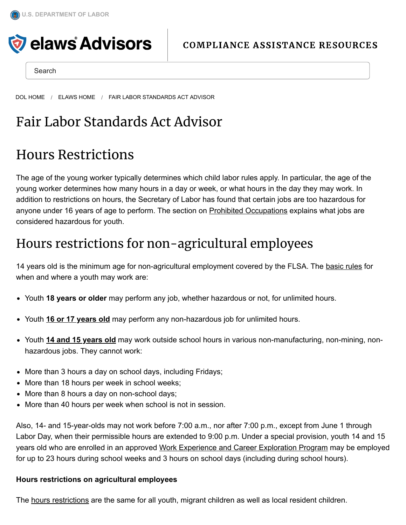

Search

[DOL HOME](https://www.dol.gov/) / [ELAWS HOME](https://webapps.dol.gov/elaws/) / FAIR LABOR STANDARDS ACT ADVISOR

## Fair Labor Standards Act Advisor

## Hours Restrictions

The age of the young worker typically determines which child labor rules apply. In particular, the age of the young worker determines how many hours in a day or week, or what hours in the day they may work. In addition to restrictions on hours, the Secretary of Labor has found that certain jobs are too hazardous for anyone under 16 years of age to perform. The section on Prohibited [Occupations](https://webapps.dol.gov/elaws/whd/flsa/docs/hazardous.asp) explains what jobs are considered hazardous for youth.

## Hours restrictions for non-agricultural employees

14 years old is the minimum age for non-agricultural employment covered by the FLSA. The [basic](https://webapps.dol.gov/elaws/leave-dol.asp?exiturl=https://www.ecfr.gov/cgi/t/text/text-idx^Q^c=ecfr|amp;sid=48d6ee3b99d3b3a97b1bf189e1757786|amp;rgn=div5|amp;view=text|amp;node=29:3.1.1.1.30|amp;idno=29&exitTitle=www.ecfr.gov&fedpage=yes) rules for when and where a youth may work are:

- Youth **18 years or older** may perform any job, whether hazardous or not, for unlimited hours.
- Youth **16 or 17 [years](https://webapps.dol.gov/elaws/leave-dol.asp?exiturl=https://www.ecfr.gov/cgi/t/text/text-idx^Q^c=ecfr|amp;sid=48d6ee3b99d3b3a97b1bf189e1757786|amp;rgn=div5|amp;view=text|amp;node=29:3.1.1.1.30|amp;idno=29&exitTitle=www.ecfr.gov&fedpage=yes) old** may perform any non-hazardous job for unlimited hours.
- Youth **14 and 15 [years](https://webapps.dol.gov/elaws/leave-dol.asp?exiturl=https://www.ecfr.gov/cgi/t/text/text-idx^Q^c=ecfr|amp;sid=48d6ee3b99d3b3a97b1bf189e1757786|amp;rgn=div5|amp;view=text|amp;node=29:3.1.1.1.30|amp;idno=29&exitTitle=www.ecfr.gov&fedpage=yes) old** may work outside school hours in various non-manufacturing, non-mining, nonhazardous jobs. They cannot work:
- More than 3 hours a day on school days, including Fridays;
- More than 18 hours per week in school weeks;
- More than 8 hours a day on non-school days;
- More than 40 hours per week when school is not in session.

Also, 14- and 15-year-olds may not work before 7:00 a.m., nor after 7:00 p.m., except from June 1 through Labor Day, when their permissible hours are extended to 9:00 p.m. Under a special provision, youth 14 and 15 years old who are enrolled in an approved Work [Experience](https://webapps.dol.gov/elaws/whd/flsa/docs/wecep.asp) and Career Exploration Program may be employed for up to 23 hours during school weeks and 3 hours on school days (including during school hours).

## **Hours restrictions on agricultural employees**

The hours [restrictions](https://webapps.dol.gov/elaws/leave-dol.asp?exiturl=https://www.ecfr.gov/cgi/t/text/text-idx^Q^c=ecfr|amp;sid=48d6ee3b99d3b3a97b1bf189e1757786|amp;rgn=div5|amp;view=text|amp;node=29:3.1.1.1.30|amp;idno=29&exitTitle=www.ecfr.gov&fedpage=yes) are the same for all youth, migrant children as well as local resident children.